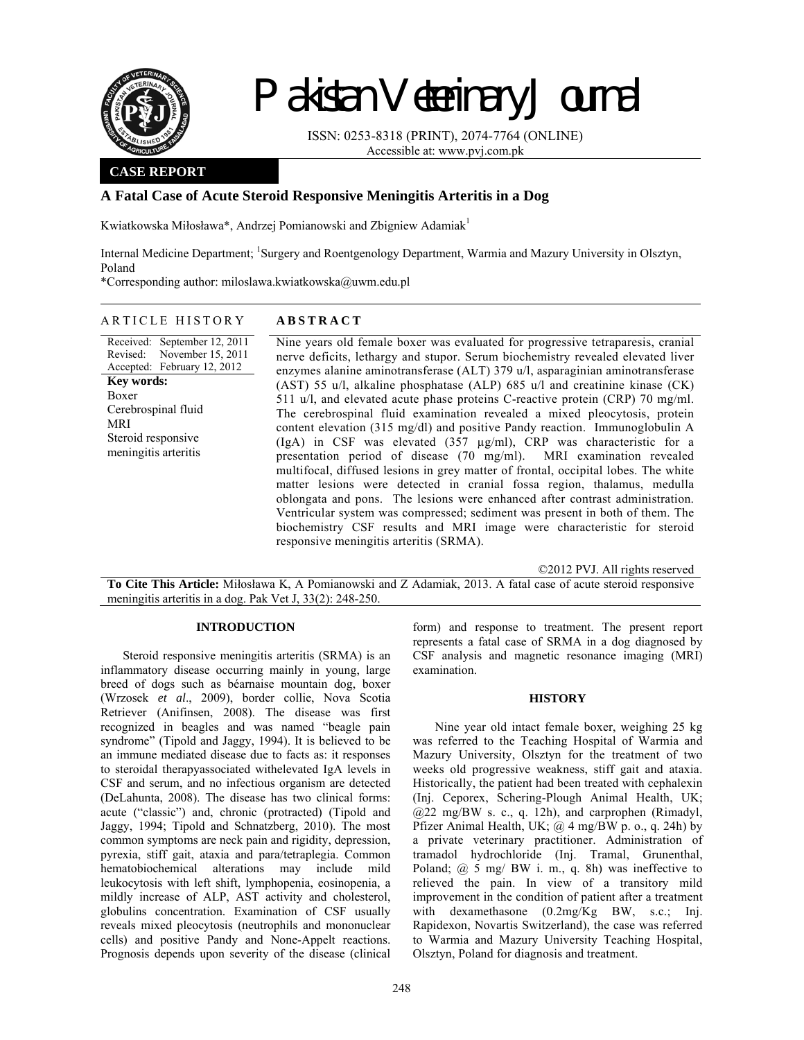

# Pakistan Veterinary Journal

ISSN: 0253-8318 (PRINT), 2074-7764 (ONLINE) Accessible at: www.pvj.com.pk

## **CASE REPORT**

# **A Fatal Case of Acute Steroid Responsive Meningitis Arteritis in a Dog**

Kwiatkowska Miłosława\*, Andrzej Pomianowski and Zbigniew Adamiak1

Internal Medicine Department; <sup>1</sup>Surgery and Roentgenology Department, Warmia and Mazury University in Olsztyn, Poland

\*Corresponding author: miloslawa.kwiatkowska@uwm.edu.pl

## ARTICLE HISTORY **ABSTRACT**

Received: September 12, 2011 Revised: Accepted: February 12, 2012 November 15, 2011 **Key words:**  Boxer Cerebrospinal fluid MRI Steroid responsive meningitis arteritis

Nine years old female boxer was evaluated for progressive tetraparesis, cranial nerve deficits, lethargy and stupor. Serum biochemistry revealed elevated liver enzymes alanine aminotransferase (ALT) 379 u/l, asparaginian aminotransferase (AST) 55 u/l, alkaline phosphatase (ALP) 685 u/l and creatinine kinase (CK) 511 u/l, and elevated acute phase proteins C-reactive protein (CRP) 70 mg/ml. The cerebrospinal fluid examination revealed a mixed pleocytosis, protein content elevation (315 mg/dl) and positive Pandy reaction. Immunoglobulin A (IgA) in CSF was elevated (357 µg/ml), CRP was characteristic for a presentation period of disease (70 mg/ml). MRI examination revealed multifocal, diffused lesions in grey matter of frontal, occipital lobes. The white matter lesions were detected in cranial fossa region, thalamus, medulla oblongata and pons. The lesions were enhanced after contrast administration. Ventricular system was compressed; sediment was present in both of them. The biochemistry CSF results and MRI image were characteristic for steroid responsive meningitis arteritis (SRMA).

©2012 PVJ. All rights reserved

**To Cite This Article:** Miłosława K, A Pomianowski and Z Adamiak, 2013. A fatal case of acute steroid responsive meningitis arteritis in a dog. Pak Vet J, 33(2): 248-250.

## **INTRODUCTION**

Steroid responsive meningitis arteritis (SRMA) is an inflammatory disease occurring mainly in young, large breed of dogs such as béarnaise mountain dog, boxer (Wrzosek *et al*., 2009), border collie, Nova Scotia Retriever (Anifinsen, 2008). The disease was first recognized in beagles and was named "beagle pain syndrome" (Tipold and Jaggy, 1994). It is believed to be an immune mediated disease due to facts as: it responses to steroidal therapyassociated withelevated IgA levels in CSF and serum, and no infectious organism are detected (DeLahunta, 2008). The disease has two clinical forms: acute ("classic") and, chronic (protracted) (Tipold and Jaggy, 1994; Tipold and Schnatzberg, 2010). The most common symptoms are neck pain and rigidity, depression, pyrexia, stiff gait, ataxia and para/tetraplegia. Common hematobiochemical alterations may include mild leukocytosis with left shift, lymphopenia, eosinopenia, a mildly increase of ALP, AST activity and cholesterol, globulins concentration. Examination of CSF usually reveals mixed pleocytosis (neutrophils and mononuclear cells) and positive Pandy and None-Appelt reactions. Prognosis depends upon severity of the disease (clinical

form) and response to treatment. The present report represents a fatal case of SRMA in a dog diagnosed by CSF analysis and magnetic resonance imaging (MRI) examination.

### **HISTORY**

Nine year old intact female boxer, weighing 25 kg was referred to the Teaching Hospital of Warmia and Mazury University, Olsztyn for the treatment of two weeks old progressive weakness, stiff gait and ataxia. Historically, the patient had been treated with cephalexin (Inj. Ceporex, Schering-Plough Animal Health, UK; @22 mg/BW s. c., q. 12h), and carprophen (Rimadyl, Pfizer Animal Health, UK;  $\omega$  4 mg/BW p. o., q. 24h) by a private veterinary practitioner. Administration of tramadol hydrochloride (Inj. Tramal, Grunenthal, Poland; @ 5 mg/ BW i. m., q. 8h) was ineffective to relieved the pain. In view of a transitory mild improvement in the condition of patient after a treatment with dexamethasone  $(0.2mg/Kg$  BW, s.c.; Inj. Rapidexon, Novartis Switzerland), the case was referred to Warmia and Mazury University Teaching Hospital, Olsztyn, Poland for diagnosis and treatment.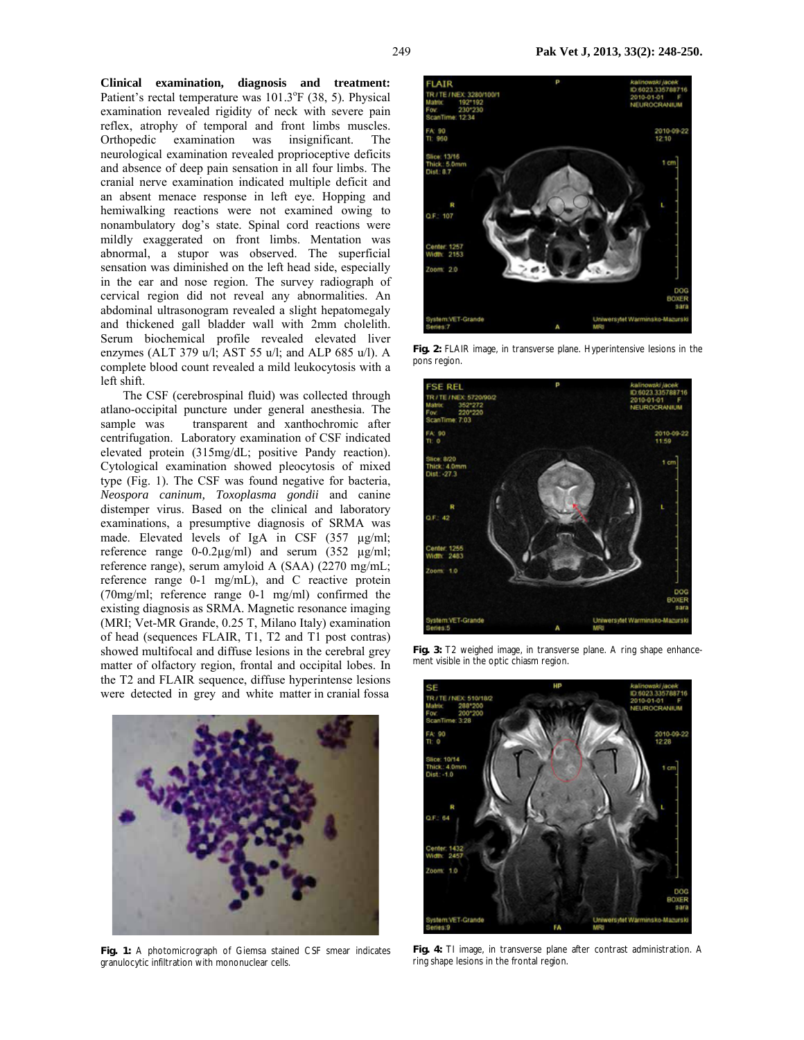**Clinical examination, diagnosis and treatment:**  Patient's rectal temperature was 101.3°F (38, 5). Physical examination revealed rigidity of neck with severe pain reflex, atrophy of temporal and front limbs muscles. Orthopedic examination was insignificant. The neurological examination revealed proprioceptive deficits and absence of deep pain sensation in all four limbs. The cranial nerve examination indicated multiple deficit and an absent menace response in left eye. Hopping and hemiwalking reactions were not examined owing to nonambulatory dog's state. Spinal cord reactions were mildly exaggerated on front limbs. Mentation was abnormal, a stupor was observed. The superficial sensation was diminished on the left head side, especially in the ear and nose region. The survey radiograph of cervical region did not reveal any abnormalities. An abdominal ultrasonogram revealed a slight hepatomegaly and thickened gall bladder wall with 2mm cholelith. Serum biochemical profile revealed elevated liver enzymes (ALT 379 u/l; AST 55 u/l; and ALP 685 u/l). A complete blood count revealed a mild leukocytosis with a left shift.

The CSF (cerebrospinal fluid) was collected through atlano-occipital puncture under general anesthesia. The sample was transparent and xanthochromic after centrifugation. Laboratory examination of CSF indicated elevated protein (315mg/dL; positive Pandy reaction). Cytological examination showed pleocytosis of mixed type (Fig. 1). The CSF was found negative for bacteria, *Neospora caninum, Toxoplasma gondii* and canine distemper virus. Based on the clinical and laboratory examinations, a presumptive diagnosis of SRMA was made. Elevated levels of IgA in CSF (357 µg/ml; reference range 0-0.2µg/ml) and serum (352 µg/ml; reference range), serum amyloid A (SAA) (2270 mg/mL; reference range 0-1 mg/mL), and C reactive protein (70mg/ml; reference range 0-1 mg/ml) confirmed the existing diagnosis as SRMA. Magnetic resonance imaging (MRI; Vet-MR Grande, 0.25 T, Milano Italy) examination of head (sequences FLAIR, T1, T2 and T1 post contras) showed multifocal and diffuse lesions in the cerebral grey matter of olfactory region, frontal and occipital lobes. In the T2 and FLAIR sequence, diffuse hyperintense lesions were detected in grey and white matter in cranial fossa



**Fig. 1:** A photomicrograph of Giemsa stained CSF smear indicates granulocytic infiltration with mononuclear cells.



**Fig. 2:** FLAIR image, in transverse plane. Hyperintensive lesions in the pons region.



**Fig. 3:** T2 weighed image, in transverse plane. A ring shape enhancement visible in the optic chiasm region.



**Fig. 4:** TI image, in transverse plane after contrast administration. A ring shape lesions in the frontal region.